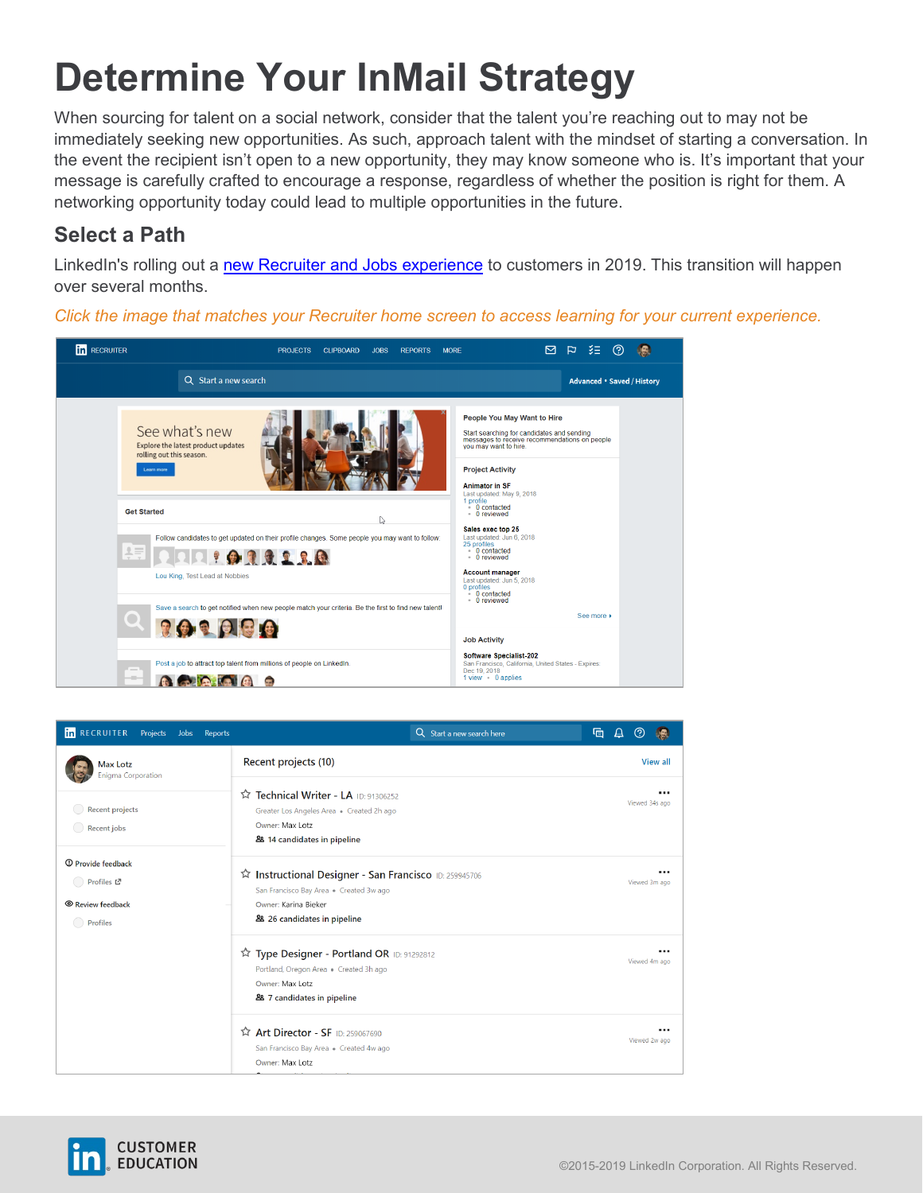# **Determine Your InMail Strategy**

When sourcing for talent on a social network, consider that the talent you're reaching out to may not be immediately seeking new opportunities. As such, approach talent with the mindset of starting a conversation. In the event the recipient isn't open to a new opportunity, they may know someone who is. It's important that your message is carefully crafted to encourage a response, regardless of whether the position is right for them. A networking opportunity today could lead to multiple opportunities in the future.

#### **Select a Path**

LinkedIn's rolling out a [new Recruiter and Jobs experience](https://business.linkedin.com/talent-solutions/customer/new-recruiter-and-jobs) to customers in 2019. This transition will happen over several months.

*Click the image that matches your Recruiter home screen to access learning for your current experience.*



| <b>In</b> RECRUITER<br>Projects Jobs<br>Reports                                           | Q Start a new search here                                                                                                           | 咟                  |
|-------------------------------------------------------------------------------------------|-------------------------------------------------------------------------------------------------------------------------------------|--------------------|
| <b>Max Lotz</b><br><b>Enigma Corporation</b><br><b>Recent projects</b><br>Recent jobs     | Recent projects (10)                                                                                                                | View all           |
|                                                                                           | Technical Writer - LA ID: 91306252<br>Greater Los Angeles Area · Created 2h ago<br>Owner: Max Lotz<br>88 14 candidates in pipeline  | <br>Viewed 34s ago |
| <sup>①</sup> Provide feedback<br>◯ Profiles 대<br><sup>©</sup> Review feedback<br>Profiles | San Francisco ID: 259945706<br>San Francisco Bay Area . Created 3w ago<br>Owner: Karina Bieker<br>28 26 candidates in pipeline      | <br>Viewed 3m ago  |
|                                                                                           | Type Designer - Portland OR ID: 91292812<br>Portland, Oregon Area . Created 3h ago<br>Owner: Max Lotz<br>& 7 candidates in pipeline | <br>Viewed 4m ago  |
|                                                                                           | <b>Art Director - SF</b> ID: 259067690<br>San Francisco Bay Area . Created 4w ago<br>Owner: Max Lotz                                | <br>Viewed 2w ago  |

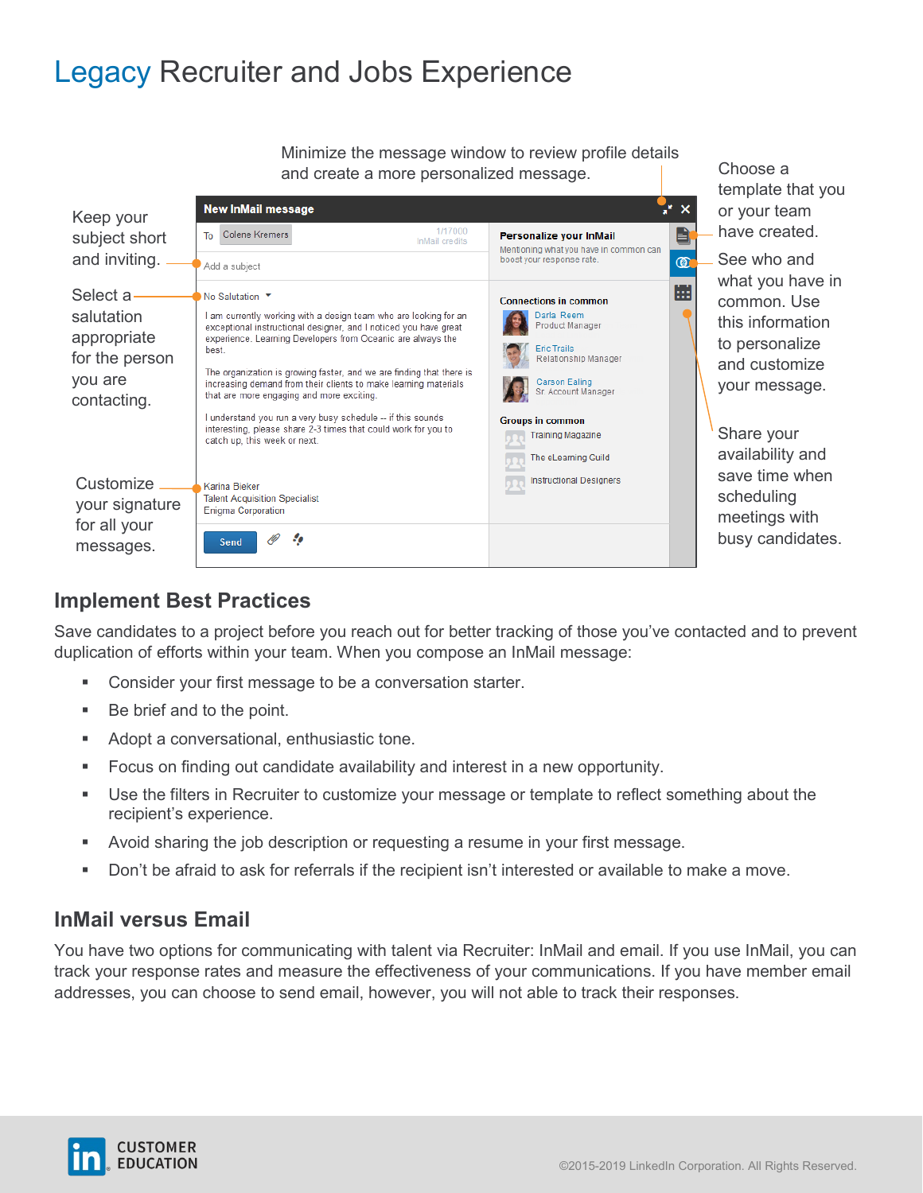### Legacy Recruiter and Jobs Experience

Minimize the message window to review profile details and create a more personalized message.

| Keep your<br>subject short<br>and inviting.                                       | <b>New InMail message</b><br>1/17000<br>Colene Kremers<br>To<br>InMail credits<br>Add a subject                                                                                                                                                                                                                                                                                                                                                                                                                                                                                          | ×<br>Đ<br>Personalize your InMail<br>Mentioning what you have in common can<br>boost your response rate.<br>$^{\circledR}$                                                                                                             |
|-----------------------------------------------------------------------------------|------------------------------------------------------------------------------------------------------------------------------------------------------------------------------------------------------------------------------------------------------------------------------------------------------------------------------------------------------------------------------------------------------------------------------------------------------------------------------------------------------------------------------------------------------------------------------------------|----------------------------------------------------------------------------------------------------------------------------------------------------------------------------------------------------------------------------------------|
| Select a<br>salutation<br>appropriate<br>for the person<br>you are<br>contacting. | No Salutation ▼<br>I am currently working with a design team who are looking for an<br>exceptional instructional designer, and I noticed you have great<br>experience. Learning Developers from Oceanic are always the<br>best.<br>The organization is growing faster, and we are finding that there is<br>increasing demand from their clients to make learning materials<br>that are more engaging and more exciting.<br>I understand you run a very busy schedule -- if this sounds<br>interesting, please share 2-3 times that could work for you to<br>catch up, this week or next. | 曲<br><b>Connections in common</b><br>Darla Reem<br>Product Manager<br><b>Eric Trails</b><br>Relationship Manager<br>Carson Ealing<br>Sr. Account Manager<br><b>Groups in common</b><br><b>Training Magazine</b><br>The eLearning Guild |
| Customize<br>your signature<br>for all your<br>messages.                          | Karina Bieker<br><b>Talent Acquisition Specialist</b><br><b>Enigma Corporation</b><br>Send                                                                                                                                                                                                                                                                                                                                                                                                                                                                                               | <b>Instructional Designers</b>                                                                                                                                                                                                         |

Choose a template that you or your team have created.

See who and what you have in common. Use this information to personalize and customize your message.

Share your availability and save time when scheduling meetings with busy candidates.

### **Implement Best Practices**

Save candidates to a project before you reach out for better tracking of those you've contacted and to prevent duplication of efforts within your team. When you compose an InMail message:

- **Consider your first message to be a conversation starter.**
- Be brief and to the point.
- Adopt a conversational, enthusiastic tone.
- Focus on finding out candidate availability and interest in a new opportunity.
- Use the filters in Recruiter to customize your message or template to reflect something about the recipient's experience.
- Avoid sharing the job description or requesting a resume in your first message.
- Don't be afraid to ask for referrals if the recipient isn't interested or available to make a move.

#### **InMail versus Email**

You have two options for communicating with talent via Recruiter: InMail and email. If you use InMail, you can track your response rates and measure the effectiveness of your communications. If you have member email addresses, you can choose to send email, however, you will not able to track their responses.